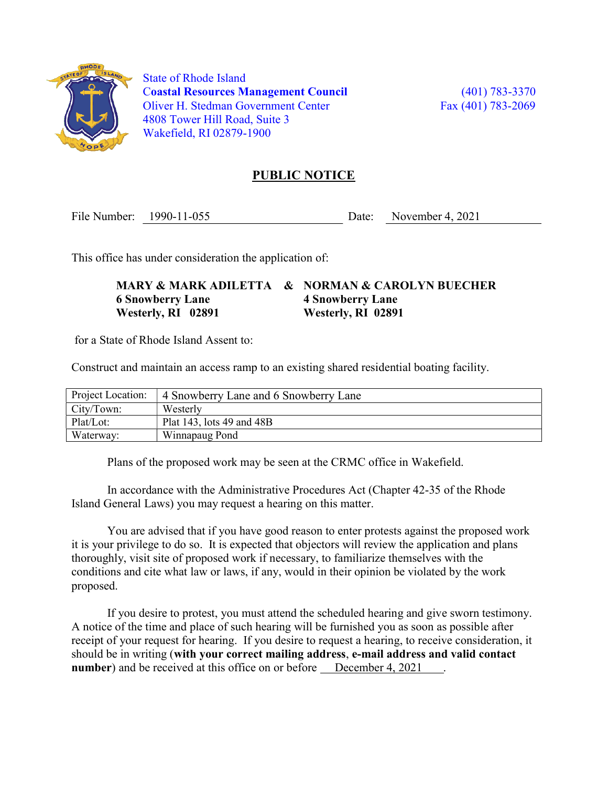

 State of Rhode Island Coastal Resources Management Council (401) 783-3370 Oliver H. Stedman Government Center Fax (401) 783-2069 4808 Tower Hill Road, Suite 3 Wakefield, RI 02879-1900

## PUBLIC NOTICE

File Number: 1990-11-055 Date: November 4, 2021

This office has under consideration the application of:

MARY & MARK ADILETTA & NORMAN & CAROLYN BUECHER 6 Snowberry Lane 4 Snowberry Lane Westerly, RI 02891 Westerly, RI 02891

for a State of Rhode Island Assent to:

Construct and maintain an access ramp to an existing shared residential boating facility.

| Project Location: | 4 Snowberry Lane and 6 Snowberry Lane |
|-------------------|---------------------------------------|
| City/Town:        | Westerly                              |
| Plat/Lot:         | Plat 143, lots 49 and 48B             |
| Waterway:         | Winnapaug Pond                        |

Plans of the proposed work may be seen at the CRMC office in Wakefield.

In accordance with the Administrative Procedures Act (Chapter 42-35 of the Rhode Island General Laws) you may request a hearing on this matter.

You are advised that if you have good reason to enter protests against the proposed work it is your privilege to do so. It is expected that objectors will review the application and plans thoroughly, visit site of proposed work if necessary, to familiarize themselves with the conditions and cite what law or laws, if any, would in their opinion be violated by the work proposed.

If you desire to protest, you must attend the scheduled hearing and give sworn testimony. A notice of the time and place of such hearing will be furnished you as soon as possible after receipt of your request for hearing. If you desire to request a hearing, to receive consideration, it should be in writing (with your correct mailing address, e-mail address and valid contact number) and be received at this office on or before December 4, 2021